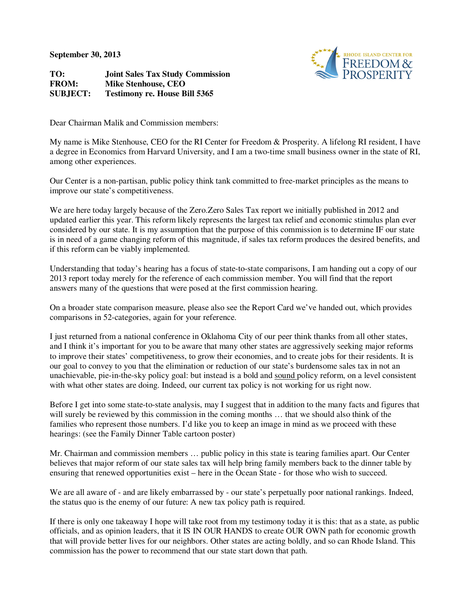**September 30, 2013** 

RHODE ISLAND CENTER FOR<br>FREEDOM &

**TO: Joint Sales Tax Study Commission FROM: Mike Stenhouse, CEO SUBJECT: Testimony re. House Bill 5365** 

Dear Chairman Malik and Commission members:

My name is Mike Stenhouse, CEO for the RI Center for Freedom & Prosperity. A lifelong RI resident, I have a degree in Economics from Harvard University, and I am a two-time small business owner in the state of RI, among other experiences.

Our Center is a non-partisan, public policy think tank committed to free-market principles as the means to improve our state's competitiveness.

We are here today largely because of the Zero.Zero Sales Tax report we initially published in 2012 and updated earlier this year. This reform likely represents the largest tax relief and economic stimulus plan ever considered by our state. It is my assumption that the purpose of this commission is to determine IF our state is in need of a game changing reform of this magnitude, if sales tax reform produces the desired benefits, and if this reform can be viably implemented.

Understanding that today's hearing has a focus of state-to-state comparisons, I am handing out a copy of our 2013 report today merely for the reference of each commission member. You will find that the report answers many of the questions that were posed at the first commission hearing.

On a broader state comparison measure, please also see the Report Card we've handed out, which provides comparisons in 52-categories, again for your reference.

I just returned from a national conference in Oklahoma City of our peer think thanks from all other states, and I think it's important for you to be aware that many other states are aggressively seeking major reforms to improve their states' competitiveness, to grow their economies, and to create jobs for their residents. It is our goal to convey to you that the elimination or reduction of our state's burdensome sales tax in not an unachievable, pie-in-the-sky policy goal: but instead is a bold and sound policy reform, on a level consistent with what other states are doing. Indeed, our current tax policy is not working for us right now.

Before I get into some state-to-state analysis, may I suggest that in addition to the many facts and figures that will surely be reviewed by this commission in the coming months ... that we should also think of the families who represent those numbers. I'd like you to keep an image in mind as we proceed with these hearings: (see the Family Dinner Table cartoon poster)

Mr. Chairman and commission members … public policy in this state is tearing families apart. Our Center believes that major reform of our state sales tax will help bring family members back to the dinner table by ensuring that renewed opportunities exist – here in the Ocean State - for those who wish to succeed.

We are all aware of - and are likely embarrassed by - our state's perpetually poor national rankings. Indeed, the status quo is the enemy of our future: A new tax policy path is required.

If there is only one takeaway I hope will take root from my testimony today it is this: that as a state, as public officials, and as opinion leaders, that it IS IN OUR HANDS to create OUR OWN path for economic growth that will provide better lives for our neighbors. Other states are acting boldly, and so can Rhode Island. This commission has the power to recommend that our state start down that path.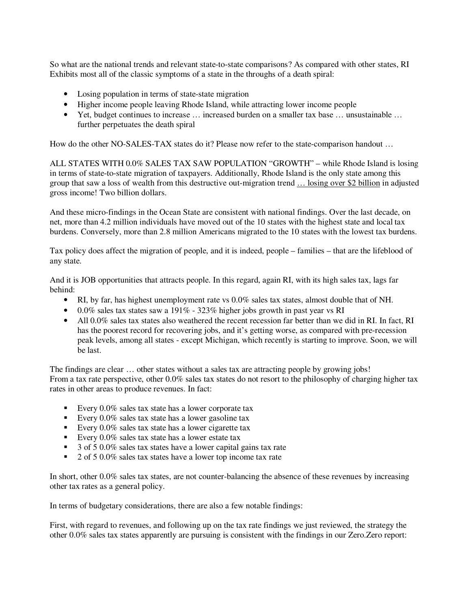So what are the national trends and relevant state-to-state comparisons? As compared with other states, RI Exhibits most all of the classic symptoms of a state in the throughs of a death spiral:

- Losing population in terms of state-state migration
- Higher income people leaving Rhode Island, while attracting lower income people
- Yet, budget continues to increase … increased burden on a smaller tax base … unsustainable … further perpetuates the death spiral

How do the other NO-SALES-TAX states do it? Please now refer to the state-comparison handout ...

ALL STATES WITH 0.0% SALES TAX SAW POPULATION "GROWTH" – while Rhode Island is losing in terms of state-to-state migration of taxpayers. Additionally, Rhode Island is the only state among this group that saw a loss of wealth from this destructive out-migration trend … losing over \$2 billion in adjusted gross income! Two billion dollars.

And these micro-findings in the Ocean State are consistent with national findings. Over the last decade, on net, more than 4.2 million individuals have moved out of the 10 states with the highest state and local tax burdens. Conversely, more than 2.8 million Americans migrated to the 10 states with the lowest tax burdens.

Tax policy does affect the migration of people, and it is indeed, people – families – that are the lifeblood of any state.

And it is JOB opportunities that attracts people. In this regard, again RI, with its high sales tax, lags far behind:

- RI, by far, has highest unemployment rate vs 0.0% sales tax states, almost double that of NH.
- 0.0% sales tax states saw a 191% 323% higher jobs growth in past year vs RI
- All 0.0% sales tax states also weathered the recent recession far better than we did in RI. In fact, RI has the poorest record for recovering jobs, and it's getting worse, as compared with pre-recession peak levels, among all states - except Michigan, which recently is starting to improve. Soon, we will be last.

The findings are clear … other states without a sales tax are attracting people by growing jobs! From a tax rate perspective, other 0.0% sales tax states do not resort to the philosophy of charging higher tax rates in other areas to produce revenues. In fact:

- Every  $0.0\%$  sales tax state has a lower corporate tax
- Every  $0.0\%$  sales tax state has a lower gasoline tax
- Every  $0.0\%$  sales tax state has a lower cigarette tax
- Every  $0.0\%$  sales tax state has a lower estate tax
- 3 of 5 0.0% sales tax states have a lower capital gains tax rate
- 2 of 5 0.0% sales tax states have a lower top income tax rate

In short, other 0.0% sales tax states, are not counter-balancing the absence of these revenues by increasing other tax rates as a general policy.

In terms of budgetary considerations, there are also a few notable findings:

First, with regard to revenues, and following up on the tax rate findings we just reviewed, the strategy the other 0.0% sales tax states apparently are pursuing is consistent with the findings in our Zero.Zero report: